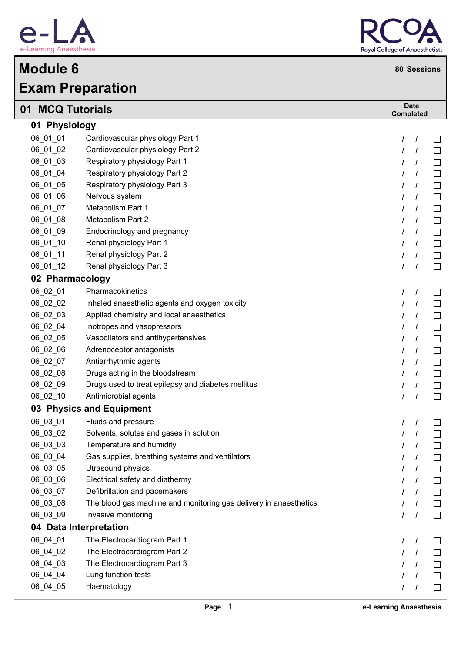

## **Exam Preparation Module 6 80 Sessions**



| 01 MCQ Tutorials |                                                                   | <b>Date</b><br><b>Completed</b> |  |  |  |
|------------------|-------------------------------------------------------------------|---------------------------------|--|--|--|
| 01 Physiology    |                                                                   |                                 |  |  |  |
| 06 01 01         | Cardiovascular physiology Part 1                                  | □<br>I<br>$\prime$              |  |  |  |
| 06_01_02         | Cardiovascular physiology Part 2                                  | $\Box$<br>$\prime$              |  |  |  |
| 06_01_03         | Respiratory physiology Part 1                                     | □<br>$\prime$                   |  |  |  |
| 06_01_04         | Respiratory physiology Part 2                                     | $\Box$<br>$\prime$              |  |  |  |
| 06_01_05         | Respiratory physiology Part 3                                     | $\Box$<br>$\prime$<br>$\prime$  |  |  |  |
| 06 01 06         | Nervous system                                                    | $\Box$<br>$\prime$<br>I         |  |  |  |
| 06_01_07         | Metabolism Part 1                                                 | $\Box$<br>$\prime$<br>$\prime$  |  |  |  |
| 06_01_08         | Metabolism Part 2                                                 | $\Box$<br>$\prime$<br>I         |  |  |  |
| 06_01_09         | Endocrinology and pregnancy                                       | $\Box$<br>$\prime$<br>$\prime$  |  |  |  |
| 06_01_10         | Renal physiology Part 1                                           | $\Box$<br>$\prime$              |  |  |  |
| 06_01_11         | Renal physiology Part 2                                           | $\Box$<br>$\prime$              |  |  |  |
| 06_01_12         | Renal physiology Part 3                                           | $\Box$<br>$\prime$              |  |  |  |
| 02 Pharmacology  |                                                                   |                                 |  |  |  |
| 06_02_01         | Pharmacokinetics                                                  | $\prime$<br>$\prime$<br>□       |  |  |  |
| 06_02_02         | Inhaled anaesthetic agents and oxygen toxicity                    | $\Box$<br>$\prime$              |  |  |  |
| 06_02_03         | Applied chemistry and local anaesthetics                          | $\Box$<br>$\prime$<br>$\prime$  |  |  |  |
| 06_02_04         | Inotropes and vasopressors                                        | $\Box$<br>$\prime$<br>I         |  |  |  |
| 06_02_05         | Vasodilators and antihypertensives                                | $\Box$<br>$\prime$              |  |  |  |
| 06_02_06         | Adrenoceptor antagonists                                          | $\Box$<br>$\prime$              |  |  |  |
| 06_02_07         | Antiarrhythmic agents                                             | $\Box$<br>$\prime$              |  |  |  |
| 06_02_08         | Drugs acting in the bloodstream                                   | $\Box$<br>$\prime$              |  |  |  |
| 06_02_09         | Drugs used to treat epilepsy and diabetes mellitus                | $\Box$<br>$\prime$              |  |  |  |
| 06_02_10         | Antimicrobial agents                                              | $\Box$<br>$\prime$              |  |  |  |
|                  | 03 Physics and Equipment                                          |                                 |  |  |  |
| 06_03_01         | Fluids and pressure                                               | I<br>⊔                          |  |  |  |
| 06_03_02         | Solvents, solutes and gases in solution                           | $\Box$<br>$\prime$              |  |  |  |
| 06_03_03         | Temperature and humidity                                          | $\prime$<br>ப<br>$\prime$       |  |  |  |
| 06_03_04         | Gas supplies, breathing systems and ventilators                   | $\Box$<br>$\prime$              |  |  |  |
| 06_03_05         | Utrasound physics                                                 | $\Box$<br>T                     |  |  |  |
| 06_03_06         | Electrical safety and diathermy                                   | $\Box$<br>$\prime$              |  |  |  |
| 06_03_07         | Defibrillation and pacemakers                                     | $\Box$<br>$\prime$              |  |  |  |
| 06_03_08         | The blood gas machine and monitoring gas delivery in anaesthetics | $\Box$<br>$\prime$              |  |  |  |
| 06_03_09         | Invasive monitoring                                               | $\Box$<br>$\prime$              |  |  |  |
|                  | 04 Data Interpretation                                            |                                 |  |  |  |
| 06_04_01         | The Electrocardiogram Part 1                                      | $\prime$<br>⊔                   |  |  |  |
| 06_04_02         | The Electrocardiogram Part 2                                      | □<br>T                          |  |  |  |
| 06_04_03         | The Electrocardiogram Part 3                                      | $\Box$<br>$\prime$              |  |  |  |
| 06_04_04         | Lung function tests                                               | $\Box$<br>$\prime$              |  |  |  |
| 06_04_05         | Haematology                                                       | $\Box$<br>$\overline{I}$        |  |  |  |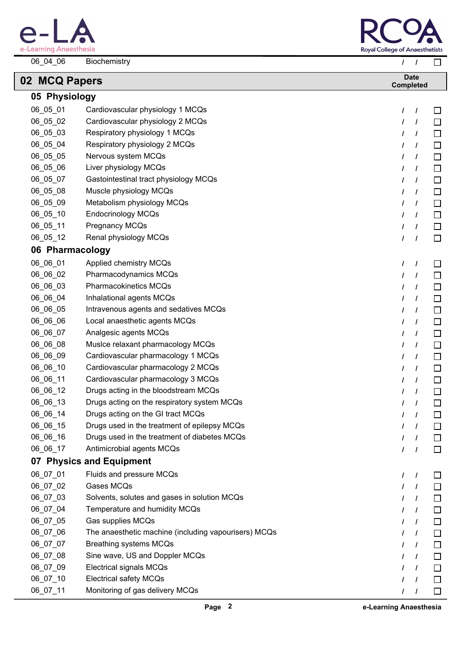

 $\lceil$ 



| 06_04_06        | Biochemistry                                         | $\prime$<br>$\prime$            | $\Box$ |
|-----------------|------------------------------------------------------|---------------------------------|--------|
| 02 MCQ Papers   |                                                      | <b>Date</b><br><b>Completed</b> |        |
| 05 Physiology   |                                                      |                                 |        |
| 06_05_01        | Cardiovascular physiology 1 MCQs                     | $\prime$<br>I                   | ப      |
| 06_05_02        | Cardiovascular physiology 2 MCQs                     | $\prime$<br>$\prime$            | $\Box$ |
| 06_05_03        | Respiratory physiology 1 MCQs                        | 7<br>I                          | □      |
| 06_05_04        | Respiratory physiology 2 MCQs                        | I<br>$\prime$                   | □      |
| 06_05_05        | Nervous system MCQs                                  | $\prime$<br>$\prime$            | □      |
| 06_05_06        | Liver physiology MCQs                                | $\prime$<br>$\prime$            | □      |
| 06_05_07        | Gastointestinal tract physiology MCQs                | $\prime$<br>$\prime$            | $\Box$ |
| 06_05_08        | Muscle physiology MCQs                               | $\prime$<br>$\prime$            | □      |
| 06_05_09        | Metabolism physiology MCQs                           | $\prime$<br>$\prime$            | $\Box$ |
| 06_05_10        | <b>Endocrinology MCQs</b>                            | $\prime$<br>$\prime$            | □      |
| 06_05_11        | Pregnancy MCQs                                       | I<br>$\prime$                   | $\Box$ |
| 06_05_12        | Renal physiology MCQs                                | $\prime$<br>$\prime$            | □      |
| 06 Pharmacology |                                                      |                                 |        |
| 06_06_01        | Applied chemistry MCQs                               | $\prime$<br>$\prime$            | $\Box$ |
| 06_06_02        | Pharmacodynamics MCQs                                | $\prime$<br>$\prime$            | $\Box$ |
| 06_06_03        | <b>Pharmacokinetics MCQs</b>                         | $\prime$<br>$\prime$            | □      |
| 06_06_04        | Inhalational agents MCQs                             | $\prime$<br>$\prime$            | □      |
| 06_06_05        | Intravenous agents and sedatives MCQs                | $\prime$<br>$\prime$            | □      |
| 06_06_06        | Local anaesthetic agents MCQs                        | I<br>$\prime$                   | □      |
| 06_06_07        | Analgesic agents MCQs                                | $\prime$<br>$\prime$            | $\Box$ |
| 06_06_08        | Musice relaxant pharmacology MCQs                    | $\prime$<br>$\prime$            | □      |
| 06_06_09        | Cardiovascular pharmacology 1 MCQs                   | $\prime$<br>$\prime$            | $\Box$ |
| 06_06_10        | Cardiovascular pharmacology 2 MCQs                   | $\prime$<br>$\prime$            | □      |
| 06_06_11        | Cardiovascular pharmacology 3 MCQs                   | $\prime$<br>$\prime$            | $\Box$ |
| 06_06_12        | Drugs acting in the bloodstream MCQs                 | $\prime$<br>$\prime$            | □      |
| 06_06_13        | Drugs acting on the respiratory system MCQs          | $\mathcal{L}$                   | $\Box$ |
| 06_06_14        | Drugs acting on the GI tract MCQs                    | $\prime$<br>$\prime$            | ப      |
| 06_06_15        | Drugs used in the treatment of epilepsy MCQs         | L<br>$\prime$                   | $\Box$ |
| 06_06_16        | Drugs used in the treatment of diabetes MCQs         | $\prime$<br>T                   | $\Box$ |
| 06_06_17        | Antimicrobial agents MCQs                            | $\prime$<br>$\prime$            | $\Box$ |
|                 | 07 Physics and Equipment                             |                                 |        |
| 06_07_01        | Fluids and pressure MCQs                             | $\prime$<br>$\prime$            | ப      |
| 06_07_02        | Gases MCQs                                           | $\prime$                        | $\Box$ |
| 06_07_03        | Solvents, solutes and gases in solution MCQs         | $\prime$<br>T                   | $\Box$ |
| 06_07_04        | Temperature and humidity MCQs                        | $\prime$<br>$\prime$            | $\Box$ |
| 06_07_05        | Gas supplies MCQs                                    | $\prime$<br>T                   | $\Box$ |
| 06_07_06        | The anaesthetic machine (including vapourisers) MCQs | $\prime$<br>$\prime$            | $\Box$ |
| 06_07_07        | <b>Breathing systems MCQs</b>                        | $\prime$<br>$\prime$            | $\Box$ |
| 06_07_08        | Sine wave, US and Doppler MCQs                       | $\prime$<br>$\prime$            | $\Box$ |
| 06_07_09        | <b>Electrical signals MCQs</b>                       | $\prime$<br>T                   | $\Box$ |
| 06_07_10        | <b>Electrical safety MCQs</b>                        | $\prime$<br>$\prime$            | $\Box$ |
| 06_07_11        | Monitoring of gas delivery MCQs                      | $\prime$<br>$\prime$            | □      |
|                 |                                                      |                                 |        |